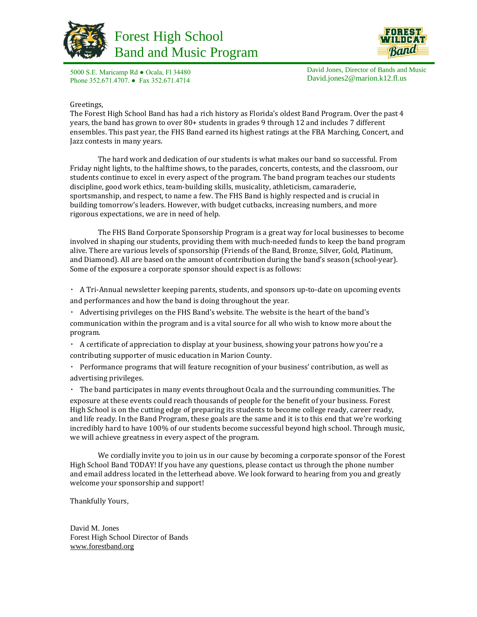





5000 S.E. Maricamp Rd ● Ocala, Fl 34480 Phone 352.671.4707. ● Fax 352.671.4714

David Jones, Director of Bands and Music David.jones2@marion.k12.fl.us

#### Greetings,

The Forest High School Band has had a rich history as Florida's oldest Band Program. Over the past 4 years, the band has grown to over 80+ students in grades 9 through 12 and includes 7 different ensembles. This past year, the FHS Band earned its highest ratings at the FBA Marching, Concert, and Jazz contests in many years.

The hard work and dedication of our students is what makes our band so successful. From Friday night lights, to the halftime shows, to the parades, concerts, contests, and the classroom, our students continue to excel in every aspect of the program. The band program teaches our students discipline, good work ethics, team‐building skills, musicality, athleticism, camaraderie, sportsmanship, and respect, to name a few. The FHS Band is highly respected and is crucial in building tomorrow's leaders. However, with budget cutbacks, increasing numbers, and more rigorous expectations, we are in need of help.

The FHS Band Corporate Sponsorship Program is a great way for local businesses to become involved in shaping our students, providing them with much-needed funds to keep the band program alive. There are various levels of sponsorship (Friends of the Band, Bronze, Silver, Gold, Platinum, and Diamond). All are based on the amount of contribution during the band's season (school‐year). Some of the exposure a corporate sponsor should expect is as follows:

A Tri-Annual newsletter keeping parents, students, and sponsors up‐to‐date on upcoming events and performances and how the band is doing throughout the year.

Advertising privileges on the FHS Band's website. The website is the heart of the band's communication within the program and is a vital source for all who wish to know more about the program.

A certificate of appreciation to display at your business, showing your patrons how you're a contributing supporter of music education in Marion County.

Performance programs that will feature recognition of your business' contribution, as well as  $\bullet$  . advertising privileges.

The band participates in many events throughout Ocala and the surrounding communities. The exposure at these events could reach thousands of people for the benefit of your business. Forest High School is on the cutting edge of preparing its students to become college ready, career ready, and life ready. In the Band Program, these goals are the same and it is to this end that we're working incredibly hard to have 100% of our students become successful beyond high school. Through music, we will achieve greatness in every aspect of the program.

We cordially invite you to join us in our cause by becoming a corporate sponsor of the Forest High School Band TODAY! If you have any questions, please contact us through the phone number and email address located in the letterhead above. We look forward to hearing from you and greatly welcome your sponsorship and support!

Thankfully Yours,

David M. Jones Forest High School Director of Bands [www.forestband.org](http://www.forestband.org/)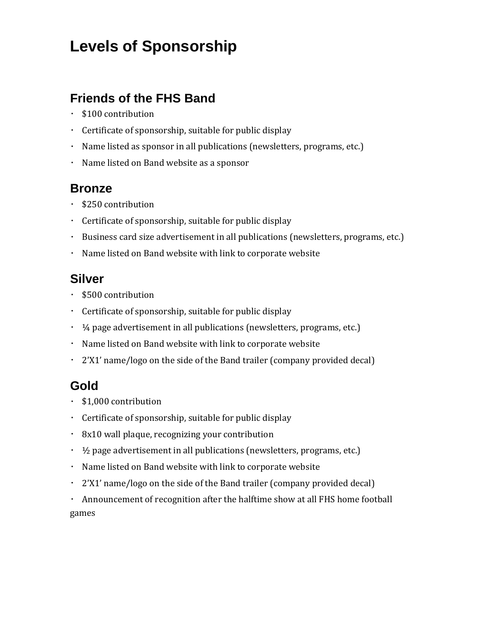# **Levels of Sponsorship**

### **Friends of the FHS Band**

- \$100 contribution
- Certificate of sponsorship, suitable for public display
- Name listed as sponsor in all publications (newsletters, programs, etc.)
- Name listed on Band website as a sponsor

### **Bronze**

- \$250 contribution
- Certificate of sponsorship, suitable for public display
- Business card size advertisement in all publications (newsletters, programs, etc.)
- Name listed on Band website with link to corporate website

### **Silver**

- \$500 contribution
- Certificate of sponsorship, suitable for public display
- $\cdot$   $\frac{1}{4}$  page advertisement in all publications (newsletters, programs, etc.)
- Name listed on Band website with link to corporate website
- 2'X1' name/logo on the side of the Band trailer (company provided decal)

## **Gold**

- \$1,000 contribution
- Certificate of sponsorship, suitable for public display
- 8x10 wall plaque, recognizing your contribution
- $\cdot$   $\frac{1}{2}$  page advertisement in all publications (newsletters, programs, etc.)
- Name listed on Band website with link to corporate website
- 2'X1' name/logo on the side of the Band trailer (company provided decal)
- Announcement of recognition after the halftime show at all FHS home football games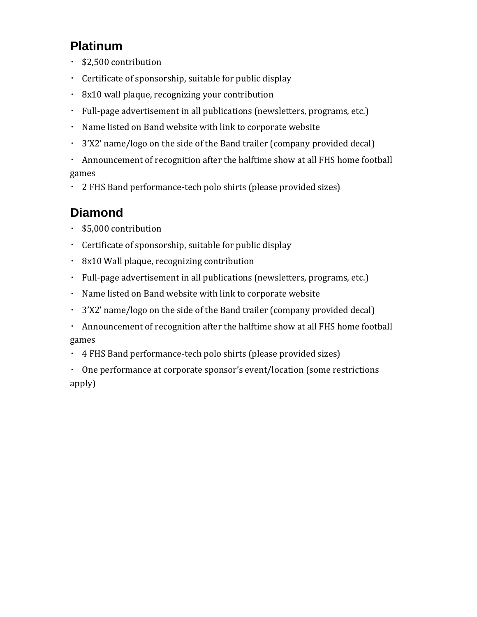## **Platinum**

- . \$2,500 contribution
- Certificate of sponsorship, suitable for public display
- 8x10 wall plaque, recognizing your contribution
- Full-page advertisement in all publications (newsletters, programs, etc.)
- Name listed on Band website with link to corporate website
- 3'X2' name/logo on the side of the Band trailer (company provided decal)
- Announcement of recognition after the halftime show at all FHS home football games
- 2 FHS Band performance‐tech polo shirts (please provided sizes)

# **Diamond**

- \$5,000 contribution
- Certificate of sponsorship, suitable for public display
- $\cdot$  8x10 Wall plaque, recognizing contribution
- Full-page advertisement in all publications (newsletters, programs, etc.)
- Name listed on Band website with link to corporate website
- 3'X2' name/logo on the side of the Band trailer (company provided decal)
- Announcement of recognition after the halftime show at all FHS home football games
- 4 FHS Band performance‐tech polo shirts (please provided sizes)
- One performance at corporate sponsor's event/location (some restrictions  $\epsilon$ apply)